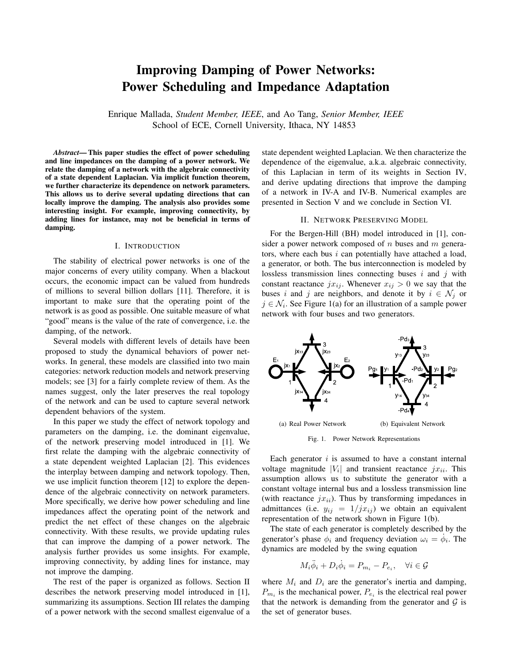# Improving Damping of Power Networks: Power Scheduling and Impedance Adaptation

Enrique Mallada, *Student Member, IEEE*, and Ao Tang, *Senior Member, IEEE* School of ECE, Cornell University, Ithaca, NY 14853

*Abstract*— This paper studies the effect of power scheduling and line impedances on the damping of a power network. We relate the damping of a network with the algebraic connectivity of a state dependent Laplacian. Via implicit function theorem, we further characterize its dependence on network parameters. This allows us to derive several updating directions that can locally improve the damping. The analysis also provides some interesting insight. For example, improving connectivity, by adding lines for instance, may not be beneficial in terms of damping.

#### I. INTRODUCTION

The stability of electrical power networks is one of the major concerns of every utility company. When a blackout occurs, the economic impact can be valued from hundreds of millions to several billion dollars [11]. Therefore, it is important to make sure that the operating point of the network is as good as possible. One suitable measure of what "good" means is the value of the rate of convergence, i.e. the damping, of the network.

Several models with different levels of details have been proposed to study the dynamical behaviors of power networks. In general, these models are classified into two main categories: network reduction models and network preserving models; see [3] for a fairly complete review of them. As the names suggest, only the later preserves the real topology of the network and can be used to capture several network dependent behaviors of the system.

In this paper we study the effect of network topology and parameters on the damping, i.e. the dominant eigenvalue, of the network preserving model introduced in [1]. We first relate the damping with the algebraic connectivity of a state dependent weighted Laplacian [2]. This evidences the interplay between damping and network topology. Then, we use implicit function theorem [12] to explore the dependence of the algebraic connectivity on network parameters. More specifically, we derive how power scheduling and line impedances affect the operating point of the network and predict the net effect of these changes on the algebraic connectivity. With these results, we provide updating rules that can improve the damping of a power network. The analysis further provides us some insights. For example, improving connectivity, by adding lines for instance, may not improve the damping.

The rest of the paper is organized as follows. Section II describes the network preserving model introduced in [1], summarizing its assumptions. Section III relates the damping of a power network with the second smallest eigenvalue of a state dependent weighted Laplacian. We then characterize the dependence of the eigenvalue, a.k.a. algebraic connectivity, of this Laplacian in term of its weights in Section IV, and derive updating directions that improve the damping of a network in IV-A and IV-B. Numerical examples are presented in Section V and we conclude in Section VI.

#### II. NETWORK PRESERVING MODEL

For the Bergen-Hill (BH) model introduced in [1], consider a power network composed of  $n$  buses and  $m$  generators, where each bus  $i$  can potentially have attached a load, a generator, or both. The bus interconnection is modeled by lossless transmission lines connecting buses  $i$  and  $j$  with constant reactance  $jx_{ij}$ . Whenever  $x_{ij} > 0$  we say that the buses i and j are neighbors, and denote it by  $i \in \mathcal{N}_j$  or  $j \in \mathcal{N}_i$ . See Figure 1(a) for an illustration of a sample power network with four buses and two generators.



Fig. 1. Power Network Representations

Each generator  $i$  is assumed to have a constant internal voltage magnitude  $|V_i|$  and transient reactance  $jx_{ii}$ . This assumption allows us to substitute the generator with a constant voltage internal bus and a lossless transmission line (with reactance  $jx_{ii}$ ). Thus by transforming impedances in admittances (i.e.  $y_{ij} = 1/jx_{ij}$ ) we obtain an equivalent representation of the network shown in Figure 1(b).

The state of each generator is completely described by the generator's phase  $\phi_i$  and frequency deviation  $\omega_i = \dot{\phi}_i$ . The dynamics are modeled by the swing equation

$$
M_i \ddot{\phi}_i + D_i \dot{\phi}_i = P_{m_i} - P_{e_i}, \quad \forall i \in \mathcal{G}
$$

where  $M_i$  and  $D_i$  are the generator's inertia and damping,  $P_{m_i}$  is the mechanical power,  $P_{e_i}$  is the electrical real power that the network is demanding from the generator and  $G$  is the set of generator buses.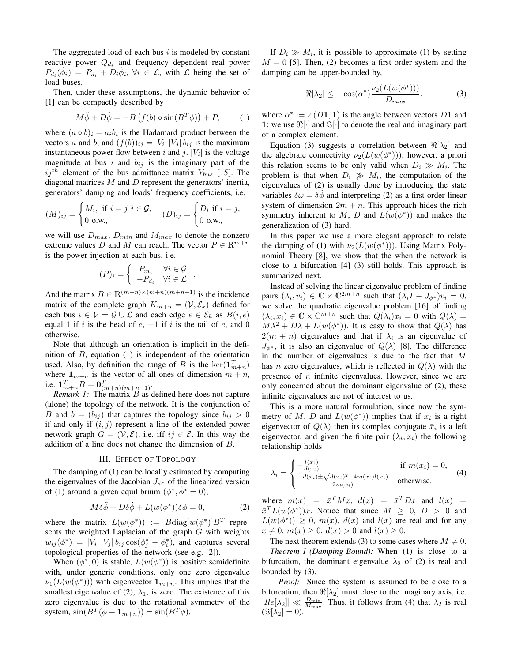The aggregated load of each bus  $i$  is modeled by constant reactive power  $Q_{d_i}$  and frequency dependent real power  $P_{d_i}(\dot{\phi}_i) = P_{d_i} + D_i \dot{\phi}_i$ ,  $\forall i \in \mathcal{L}$ , with  $\mathcal{L}$  being the set of load buses.

Then, under these assumptions, the dynamic behavior of [1] can be compactly described by

$$
M\ddot{\phi} + D\dot{\phi} = -B\left(f(b)\circ\sin(B^T\phi)\right) + P,\tag{1}
$$

where  $(a \circ b)_i = a_i b_i$  is the Hadamard product between the vectors a and b, and  $(f(b))_{ij} = |V_i| |V_j| b_{ij}$  is the maximum instantaneous power flow between i and j.  $|V_i|$  is the voltage magnitude at bus i and  $b_{ij}$  is the imaginary part of the  $ij<sup>th</sup>$  element of the bus admittance matrix  $Y_{bus}$  [15]. The diagonal matrices  $M$  and  $D$  represent the generators' inertia, generators' damping and loads' frequency coefficients, i.e.

$$
(M)_{ij} = \begin{cases} M_i, & \text{if } i = j \ i \in \mathcal{G}, \\ 0 \text{ o.w.}, \end{cases} (D)_{ij} = \begin{cases} D_i & \text{if } i = j, \\ 0 \text{ o.w.}, \end{cases}
$$

we will use  $D_{max}$ ,  $D_{min}$  and  $M_{max}$  to denote the nonzero extreme values D and M can reach. The vector  $P \in \mathbb{R}^{m+n}$ is the power injection at each bus, i.e.

$$
(P)_i = \begin{cases} P_{m_i} & \forall i \in \mathcal{G} \\ -P_{d_i} & \forall i \in \mathcal{L} \end{cases}.
$$

And the matrix  $B \in \mathbb{R}^{(m+n)\times(m+n)(m+n-1)}$  is the incidence matrix of the complete graph  $K_{m+n} = (\mathcal{V}, \mathcal{E}_k)$  defined for each bus  $i \in \mathcal{V} = \mathcal{G} \cup \mathcal{L}$  and each edge  $e \in \mathcal{E}_k$  as  $B(i, e)$ equal 1 if i is the head of  $e$ ,  $-1$  if i is the tail of  $e$ , and 0 otherwise.

Note that although an orientation is implicit in the definition of  $B$ , equation (1) is independent of the orientation used. Also, by definition the range of B is the  $\ker(\mathbf{1}_{m+n}^T)$ where  $1_{m+n}$  is the vector of all ones of dimension  $m+n$ , i.e.  $\mathbf{1}_{m+n}^T B = \mathbf{0}_{(m+n)(m+n-1)}^T$ .

*Remark 1:* The matrix *B* as defined here does not capture (alone) the topology of the network. It is the conjunction of B and  $b = (b_{ij})$  that captures the topology since  $b_{ij} > 0$ if and only if  $(i, j)$  represent a line of the extended power network graph  $G = (\mathcal{V}, \mathcal{E})$ , i.e. iff  $ij \in \mathcal{E}$ . In this way the addition of a line does not change the dimension of B.

# III. EFFECT OF TOPOLOGY

The damping of (1) can be locally estimated by computing the eigenvalues of the Jacobian  $J_{\phi^*}$  of the linearized version of (1) around a given equilibrium  $(\phi^*, \dot{\phi}^* = 0)$ ,

$$
M\delta\ddot{\phi} + D\delta\dot{\phi} + L(w(\phi^*))\delta\phi = 0, \qquad (2)
$$

where the matrix  $L(w(\phi^*)) := B \text{diag}[w(\phi^*)] B^T$  represents the weighted Laplacian of the graph G with weights  $w_{ij}(\phi^*) = |V_i| |V_j| b_{ij} \cos(\phi_j^* - \phi_i^*)$ , and captures several topological properties of the network (see e.g. [2]).

When  $(\phi^*, 0)$  is stable,  $L(w(\phi^*))$  is positive semidefinite with, under generic conditions, only one zero eigenvalue  $\nu_1(L(w(\phi^*)))$  with eigenvector  $\mathbf{1}_{m+n}$ . This implies that the smallest eigenvalue of (2),  $\lambda_1$ , is zero. The existence of this zero eigenvalue is due to the rotational symmetry of the system,  $\sin(B^T(\phi + \mathbf{1}_{m+n})) = \sin(B^T\phi)$ .

If  $D_i \gg M_i$ , it is possible to approximate (1) by setting  $M = 0$  [5]. Then, (2) becomes a first order system and the damping can be upper-bounded by,

$$
\Re[\lambda_2] \le -\cos(\alpha^*) \frac{\nu_2(L(w(\phi^*)))}{D_{max}},\tag{3}
$$

where  $\alpha^* := \angle(D1, 1)$  is the angle between vectors D1 and 1; we use  $\Re[\cdot]$  and  $\Im[\cdot]$  to denote the real and imaginary part of a complex element.

Equation (3) suggests a correlation between  $\Re[\lambda_2]$  and the algebraic connectivity  $\nu_2(L(w(\phi^*)))$ ; however, a priori this relation seems to be only valid when  $D_i \gg M_i$ . The problem is that when  $D_i \gg M_i$ , the computation of the eigenvalues of (2) is usually done by introducing the state variables  $\delta \omega = \delta \phi$  and interpreting (2) as a first order linear system of dimension  $2m + n$ . This approach hides the rich symmetry inherent to M, D and  $L(w(\phi^*))$  and makes the generalization of (3) hard.

In this paper we use a more elegant approach to relate the damping of (1) with  $\nu_2(L(w(\phi^*)))$ . Using Matrix Polynomial Theory [8], we show that the when the network is close to a bifurcation [4] (3) still holds. This approach is summarized next.

Instead of solving the linear eigenvalue problem of finding pairs  $(\lambda_i, v_i) \in \mathbb{C} \times \mathbb{C}^{2m+n}$  such that  $(\lambda_i I - J_{\phi^*})v_i = 0$ , we solve the quadratic eigenvalue problem [16] of finding  $(\lambda_i, x_i) \in \mathbb{C} \times \mathbb{C}^{m+n}$  such that  $Q(\lambda_i)x_i = 0$  with  $Q(\lambda) =$  $M\lambda^2 + D\lambda + L(w(\phi^*))$ . It is easy to show that  $Q(\lambda)$  has  $2(m + n)$  eigenvalues and that if  $\lambda_i$  is an eigenvalue of  $J_{\phi^*}$ , it is also an eigenvalue of  $Q(\lambda)$  [8]. The difference in the number of eigenvalues is due to the fact that  $M$ has *n* zero eigenvalues, which is reflected in  $Q(\lambda)$  with the presence of  $n$  infinite eigenvalues. However, since we are only concerned about the dominant eigenvalue of (2), these infinite eigenvalues are not of interest to us.

This is a more natural formulation, since now the symmetry of M, D and  $L(w(\phi^*))$  implies that if  $x_i$  is a right eigenvector of  $Q(\lambda)$  then its complex conjugate  $\bar{x}_i$  is a left eigenvector, and given the finite pair  $(\lambda_i, x_i)$  the following relationship holds

$$
\lambda_i = \begin{cases}\n-\frac{l(x_i)}{d(x_i)} & \text{if } m(x_i) = 0, \\
\frac{-d(x_i) \pm \sqrt{d(x_i)^2 - 4m(x_i)l(x_i)}}{2m(x_i)} & \text{otherwise.} \n\end{cases}
$$
\n(4)

where  $m(x) = \bar{x}^T M x$ ,  $d(x) = \bar{x}^T D x$  and  $l(x) =$  $\bar{x}^T L(w(\phi^*))x$ . Notice that since  $M \geq 0$ ,  $D > 0$  and  $L(w(\phi^*)) \geq 0$ ,  $m(x)$ ,  $d(x)$  and  $l(x)$  are real and for any  $x \neq 0$ ,  $m(x) \geq 0$ ,  $d(x) > 0$  and  $l(x) \geq 0$ .

The next theorem extends (3) to some cases where  $M \neq 0$ . *Theorem 1 (Damping Bound):* When (1) is close to a bifurcation, the dominant eigenvalue  $\lambda_2$  of (2) is real and bounded by (3).

*Proof:* Since the system is assumed to be close to a bifurcation, then  $\Re[\lambda_2]$  must close to the imaginary axis, i.e.  $|R_e[\lambda_2]| \ll \frac{D_{\min}}{M_{\max}}$ . Thus, it follows from (4) that  $\lambda_2$  is real  $(\Im[\lambda_2] = 0).$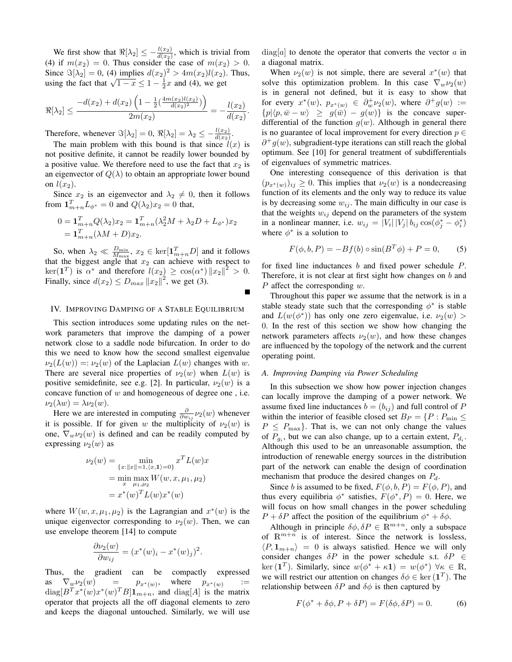We first show that  $\Re[\lambda_2] \leq -\frac{l(x_2)}{d(x_2)}$ , which is trivial from (4) if  $m(x_2) = 0$ . Thus consider the case of  $m(x_2) > 0$ . Since  $\Im[\lambda_2] = 0$ , (4) implies  $d(x_2)^2 > 4m(x_2)l(x_2)$ . Thus, using the fact that  $\sqrt{1-x} \leq 1 - \frac{1}{2}x$  and (4), we get

$$
\Re[\lambda_2] \le \frac{-d(x_2) + d(x_2) \left(1 - \frac{1}{2} \left(\frac{4m(x_2)l(x_2)}{d(x_2)^2}\right)\right)}{2m(x_2)} = -\frac{l(x_2)}{d(x_2)}.
$$

Therefore, whenever  $\Im[\lambda_2] = 0$ ,  $\Re[\lambda_2] = \lambda_2 \le -\frac{l(x_2)}{d(x_2)}$ .

The main problem with this bound is that since  $l(x)$  is not positive definite, it cannot be readily lower bounded by a positive value. We therefore need to use the fact that  $x_2$  is an eigenvector of  $Q(\lambda)$  to obtain an appropriate lower bound on  $l(x_2)$ .

Since  $x_2$  is an eigenvector and  $\lambda_2 \neq 0$ , then it follows from  $\mathbf{1}_{m+n}^T L_{\phi^*} = 0$  and  $Q(\lambda_2) x_2 = 0$  that,

$$
0 = \mathbf{1}_{m+n}^T Q(\lambda_2) x_2 = \mathbf{1}_{m+n}^T (\lambda_2^2 M + \lambda_2 D + L_{\phi^*}) x_2
$$
  
= 
$$
\mathbf{1}_{m+n}^T (\lambda M + D) x_2.
$$

So, when  $\lambda_2 \ll \frac{D_{\min}}{M_{\max}}$ ,  $x_2 \in \text{ker}[\mathbf{1}_{m+n}^T D]$  and it follows that the biggest angle that  $x_2$  can achieve with respect to  $\ker(\mathbf{1}^T)$  is  $\alpha^*$  and therefore  $l(x_2) \geq \cos(\alpha^*) ||x_2||^2 > 0$ . Finally, since  $d(x_2) \le D_{max} ||x_2||^2$ , we get (3).

# IV. IMPROVING DAMPING OF A STABLE EQUILIBRIUM

This section introduces some updating rules on the network parameters that improve the damping of a power network close to a saddle node bifurcation. In order to do this we need to know how the second smallest eigenvalue  $\nu_2(L(w)) =: \nu_2(w)$  of the Laplacian  $L(w)$  changes with w. There are several nice properties of  $\nu_2(w)$  when  $L(w)$  is positive semidefinite, see e.g. [2]. In particular,  $\nu_2(w)$  is a concave function of w and homogeneous of degree one , i.e.  $\nu_2(\lambda w) = \lambda \nu_2(w).$ 

Here we are interested in computing  $\frac{\partial}{\partial w_{ij}}\nu_2(w)$  whenever it is possible. If for given w the multiplicity of  $\nu_2(w)$  is one,  $\nabla_w \nu_2(w)$  is defined and can be readily computed by expressing  $\nu_2(w)$  as

$$
\nu_2(w) = \min_{\{x: ||x|| = 1, \langle x, 1 \rangle = 0\}} x^T L(w) x
$$
  
= min max W(w, x, \mu\_1, \mu\_2)  
= x^\*(w)^T L(w) x^\*(w)

where  $W(w, x, \mu_1, \mu_2)$  is the Lagrangian and  $x^*(w)$  is the unique eigenvector corresponding to  $\nu_2(w)$ . Then, we can use envelope theorem [14] to compute

$$
\frac{\partial \nu_2(w)}{\partial w_{ij}} = (x^*(w)_i - x^*(w)_j)^2.
$$

Thus, the gradient can be compactly expressed as  $\nabla_w \nu_2(w)$  =  $p_{x^*(w)}$ , where  $p_{x^*(w)}$ :=  $diag[B^T x^*(w)x^*(w)^T B] \mathbf{1}_{m+n}$ , and  $diag[A]$  is the matrix operator that projects all the off diagonal elements to zero and keeps the diagonal untouched. Similarly, we will use  $diag[a]$  to denote the operator that converts the vector a in a diagonal matrix.

When  $\nu_2(w)$  is not simple, there are several  $x^*(w)$  that solve this optimization problem. In this case  $\nabla_w \nu_2(w)$ is in general not defined, but it is easy to show that for every  $x^*(w)$ ,  $p_{x^*(w)} \in \partial_w^+ \nu_2(w)$ , where  $\partial^+ g(w) :=$  ${p|\langle p,\bar{w}-w\rangle \ge g(\bar{w}) - g(w)}$  is the concave superdifferential of the function  $g(w)$ . Although in general there is no guarantee of local improvement for every direction  $p \in$  $\partial^+ g(w)$ , subgradient-type iterations can still reach the global optimum. See [10] for general treatment of subdifferentials of eigenvalues of symmetric matrices.

One interesting consequence of this derivation is that  $(p_{x^*(w)})_{ij} \geq 0$ . This implies that  $\nu_2(w)$  is a nondecreasing function of its elements and the only way to reduce its value is by decreasing some  $w_{ij}$ . The main difficulty in our case is that the weights  $w_{ij}$  depend on the parameters of the system in a nonlinear manner, i.e.  $w_{ij} = |V_i| |V_j| b_{ij} \cos(\phi_j^* - \phi_i^*)$ where  $\phi^*$  is a solution to

$$
F(\phi, b, P) = -Bf(b) \circ \sin(B^{T}\phi) + P = 0,
$$
 (5)

for fixed line inductances b and fixed power schedule P. Therefore, it is not clear at first sight how changes on  $b$  and  $P$  affect the corresponding  $w$ .

Throughout this paper we assume that the network is in a stable steady state such that the corresponding  $\phi^*$  is stable and  $L(w(\phi^*))$  has only one zero eigenvalue, i.e.  $\nu_2(w)$ 0. In the rest of this section we show how changing the network parameters affects  $\nu_2(w)$ , and how these changes are influenced by the topology of the network and the current operating point.

# *A. Improving Damping via Power Scheduling*

In this subsection we show how power injection changes can locally improve the damping of a power network. We assume fixed line inductances  $b = (b_{ij})$  and full control of P within the interior of feasible closed set  $B_P = \{P : P_{\text{min}} \leq$  $P \leq P_{\text{max}}$ . That is, we can not only change the values of  $P_{g_i}$ , but we can also change, up to a certain extent,  $P_{d_i}$ . Although this used to be an unreasonable assumption, the introduction of renewable energy sources in the distribution part of the network can enable the design of coordination mechanism that produce the desired changes on  $P_d$ .

Since b is assumed to be fixed,  $F(\phi, b, P) = F(\phi, P)$ , and thus every equilibria  $\phi^*$  satisfies,  $F(\phi^*, P) = 0$ . Here, we will focus on how small changes in the power scheduling  $P + \delta P$  affect the position of the equilibrium  $\phi^* + \delta \phi$ .

Although in principle  $\delta\phi$ ,  $\delta P \in \mathbb{R}^{m+n}$ , only a subspace of  $\mathbb{R}^{m+n}$  is of interest. Since the network is lossless,  $\langle P, \mathbf{1}_{m+n} \rangle = 0$  is always satisfied. Hence we will only consider changes  $\delta P$  in the power schedule s.t.  $\delta P \in$ ker (1<sup>T</sup>). Similarly, since  $w(\phi^* + \kappa \mathbf{1}) = w(\phi^*) \; \forall \kappa \in \mathbb{R}$ , we will restrict our attention on changes  $\delta \phi \in \text{ker}(\mathbf{1}^T)$ . The relationship between  $\delta P$  and  $\delta \phi$  is then captured by

$$
F(\phi^* + \delta\phi, P + \delta P) = F(\delta\phi, \delta P) = 0.
$$
 (6)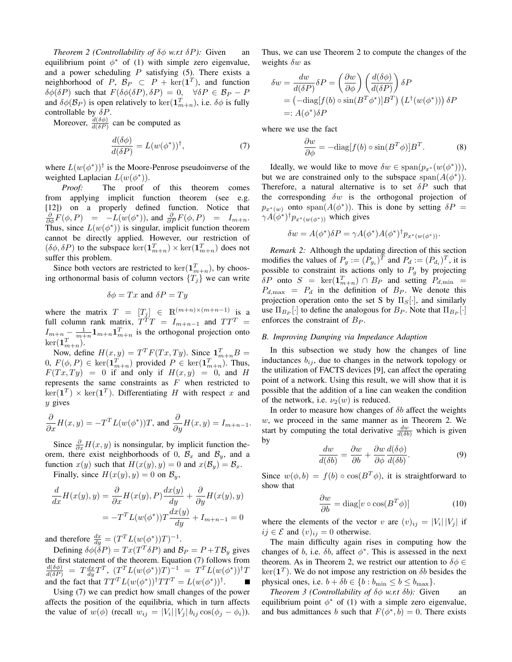*Theorem 2 (Controllability of*  $\delta\phi$  *<i>w.r.t*  $\delta P$ ): Given an equilibrium point  $\phi^*$  of (1) with simple zero eigenvalue, and a power scheduling  $P$  satisfying (5). There exists a neighborhood of  $P, B_P \subset P + \ker(\mathbf{1}^T)$ , and function  $\delta\phi(\delta P)$  such that  $F(\delta\phi(\delta P), \delta P) = 0$ ,  $\forall \delta P \in \mathcal{B}_P - P$ and  $\delta\phi(\mathcal{B}_P)$  is open relatively to  $\ker(\mathbf{1}_{m+n}^T)$ , i.e.  $\delta\phi$  is fully controllable by  $\delta P$ .

Moreover,  $\frac{d(\delta\phi)}{d(\delta P)}$  can be computed as

$$
\frac{d(\delta\phi)}{d(\delta P)} = L(w(\phi^*))^{\dagger},\tag{7}
$$

where  $L(w(\phi^*))^{\dagger}$  is the Moore-Penrose pseudoinverse of the weighted Laplacian  $L(w(\phi^*))$ .

*Proof:* The proof of this theorem comes from applying implicit function theorem (see e.g. [12]) on a properly defined function. Notice that  $\frac{\partial}{\partial \phi}F(\phi, P) = -L(w(\phi^*)),$  and  $\frac{\partial}{\partial P}F(\phi, P) = I_{m+n}$ . Thus, since  $L(w(\phi^*))$  is singular, implicit function theorem cannot be directly applied. However, our restriction of  $(\delta \phi, \delta P)$  to the subspace  $\ker(\mathbf{1}_{m+n}^T) \times \ker(\mathbf{1}_{m+n}^T)$  does not suffer this problem.

Since both vectors are restricted to  $\ker(\mathbf{1}_{m+n}^T)$ , by choosing orthonormal basis of column vectors  $\{T_i\}$  we can write

$$
\delta \phi = Tx \text{ and } \delta P = Ty
$$

where the matrix  $T = [T_j] \in \mathbb{R}^{(m+n)\times(m+n-1)}$  is a full column rank matrix,  $T^T T = I_{m+n-1}$  and  $TT^T =$  $I_{m+n} - \frac{1}{m+n} \mathbf{1}_{m+n} \mathbf{1}_{m+n}^T$  is the orthogonal projection onto  $\ker(\mathbf{1}_{m+n}^T)$ .

Now, define  $H(x, y) = T^T F(Tx, Ty)$ . Since  $\mathbf{1}_{m+n}^T B =$  $(0, F(\phi, P) \in \ker(\mathbf{1}_{m+n}^T) \text{ provided } P \in \ker(\mathbf{1}_{m+n}^T).$  Thus,  $F(Tx, Ty) = 0$  if and only if  $H(x, y) = 0$ , and H represents the same constraints as  $F$  when restricted to  $\ker(\mathbf{1}^T) \times \ker(\mathbf{1}^T)$ . Differentiating H with respect x and  $y$  gives

$$
\frac{\partial}{\partial x}H(x,y) = -T^{T}L(w(\phi^{*}))T, \text{ and } \frac{\partial}{\partial y}H(x,y) = I_{m+n-1}.
$$

Since  $\frac{\partial}{\partial x}H(x, y)$  is nonsingular, by implicit function theorem, there exist neighborhoods of 0,  $\mathcal{B}_x$  and  $\mathcal{B}_y$ , and a function  $x(y)$  such that  $H(x(y), y) = 0$  and  $x(\mathcal{B}_y) = \mathcal{B}_x$ .

Finally, since  $H(x(y), y) = 0$  on  $\mathcal{B}_y$ ,

$$
\frac{d}{dx}H(x(y), y) = \frac{\partial}{\partial x}H(x(y), P)\frac{dx(y)}{dy} + \frac{\partial}{\partial y}H(x(y), y)
$$

$$
= -T^{T}L(w(\phi^{*}))T\frac{dx(y)}{dy} + I_{m+n-1} = 0
$$

and therefore  $\frac{dx}{dy} = (T^T L(w(\phi^*))T)^{-1}$ .

Defining  $\delta\phi(\delta P) = Tx(T^T \delta P)$  and  $\mathcal{B}_P = P + T\mathcal{B}_y$  gives the first statement of the theorem. Equation (7) follows from<br>  $\frac{d(\delta\phi)}{d(\delta P)} = T \frac{dx}{dy} T^T$ ,  $(T^T L(w(\phi^*))T)^{-1} = T^T L(w(\phi^*))^{\dagger} T$ and the fact that  $TT^{T}L(w(\phi^{*}))^{\dagger}TT^{T} = L(w(\phi^{*}))^{\dagger}$ .

Using (7) we can predict how small changes of the power affects the position of the equilibria, which in turn affects the value of  $w(\phi)$  (recall  $w_{ij} = |V_i| |V_j| b_{ij} \cos(\phi_j - \phi_i)$ ).

Thus, we can use Theorem 2 to compute the changes of the weights  $\delta w$  as

$$
\delta w = \frac{dw}{d(\delta P)} \delta P = \left(\frac{\partial w}{\partial \phi}\right) \left(\frac{d(\delta \phi)}{d(\delta P)}\right) \delta P
$$
  
=  $\left(-\text{diag}[f(b) \circ \sin(B^T \phi^*)]B^T\right) \left(L^{\dagger}(w(\phi^*))\right) \delta P$   
=:  $A(\phi^*) \delta P$ 

where we use the fact

$$
\frac{\partial w}{\partial \phi} = -\text{diag}[f(b) \circ \sin(B^T \phi)]B^T. \tag{8}
$$

Ideally, we would like to move  $\delta w \in \text{span}(p_{x^*}(w(\phi^*)))$ , but we are constrained only to the subspace  $\text{span}(A(\phi^*))$ . Therefore, a natural alternative is to set  $\delta P$  such that the corresponding  $\delta w$  is the orthogonal projection of  $p_{x^*(w)}$  onto span $(A(\phi^*))$ . This is done by setting  $\delta P =$  $\gamma A(\phi^*)^{\dagger} p_{x^*(w(\phi^*))}$  which gives

$$
\delta w = A(\phi^*)\delta P = \gamma A(\phi^*)A(\phi^*)^{\dagger} p_{x^*(w(\phi^*))}.
$$

*Remark 2:* Although the updating direction of this section modifies the values of  $P_g := (P_{g_i})^T$  and  $P_d := (P_{d_i})^T$ , it is possible to constraint its actions only to  $P_g$  by projecting  $\delta P$  onto  $S = \ker(\mathbf{1}_{m+n}^T) \cap B_P$  and setting  $P_{d,\min} =$  $P_{d,\text{max}} = P_d$  in the definition of  $B_P$ . We denote this projection operation onto the set S by  $\Pi_S[\cdot]$ , and similarly use  $\Pi_{B_P}[\cdot]$  to define the analogous for  $B_P$ . Note that  $\Pi_{B_P}[\cdot]$ enforces the constraint of  $B_P$ .

#### *B. Improving Damping via Impedance Adaption*

In this subsection we study how the changes of line inductances  $b_{ij}$ , due to changes in the network topology or the utilization of FACTS devices [9], can affect the operating point of a network. Using this result, we will show that it is possible that the addition of a line can weaken the condition of the network, i.e.  $\nu_2(w)$  is reduced.

In order to measure how changes of  $\delta b$  affect the weights w, we proceed in the same manner as in Theorem 2. We start by computing the total derivative  $\frac{dw}{d(\delta b)}$  which is given by

$$
\frac{dw}{d(\delta b)} = \frac{\partial w}{\partial b} + \frac{\partial w}{\partial \phi} \frac{d(\delta \phi)}{d(\delta b)}.
$$
(9)

Since  $w(\phi, b) = f(b) \circ \cos(B^T \phi)$ , it is straightforward to show that

$$
\frac{\partial w}{\partial b} = \text{diag}[v \circ \cos(B^T \phi)] \tag{10}
$$

where the elements of the vector v are  $(v)_{ij} = |V_i| |V_j|$  if  $ij \in \mathcal{E}$  and  $(v)_{ij} = 0$  otherwise.

The main difficulty again rises in computing how the changes of b, i.e.  $\delta b$ , affect  $\phi^*$ . This is assessed in the next theorem. As in Theorem 2, we restrict our attention to  $\delta \phi \in$  $\ker(\mathbf{1}^T)$ . We do not impose any restriction on  $\delta b$  besides the physical ones, i.e.  $b + \delta b \in \{b : b_{\min} \le b \le b_{\max}\}.$ 

*Theorem 3 (Controllability of* δφ *w.r.t* δb*):* Given an equilibrium point  $\phi^*$  of (1) with a simple zero eigenvalue, and bus admittances b such that  $F(\phi^*, b) = 0$ . There exists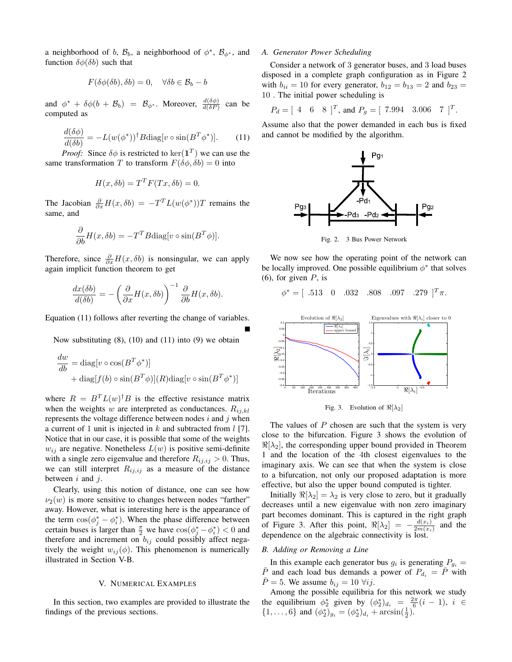a neighborhood of b,  $\mathcal{B}_b$ , a neighborhood of  $\phi^*$ ,  $\mathcal{B}_{\phi^*}$ , and function  $\delta\phi(\delta b)$  such that

$$
F(\delta\phi(\delta b), \delta b) = 0, \quad \forall \delta b \in \mathcal{B}_b - b
$$

and  $\phi^* + \delta\phi(b + \mathcal{B}_b) = \mathcal{B}_{\phi^*}$ . Moreover,  $\frac{d(\delta\phi)}{d(\delta P)}$  can be computed as

$$
\frac{d(\delta\phi)}{d(\delta b)} = -L(w(\phi^*))^{\dagger}B\text{diag}[v\circ\sin(B^T\phi^*)].\tag{11}
$$

*Proof:* Since  $\delta\phi$  is restricted to  $\ker(\mathbf{1}^T)$  we can use the same transformation T to transform  $F(\delta\phi, \delta b) = 0$  into

$$
H(x, \delta b) = T^T F(Tx, \delta b) = 0.
$$

The Jacobian  $\frac{\partial}{\partial x}H(x,\delta b) = -T^{T}L(w(\phi^*))T$  remains the same, and

$$
\frac{\partial}{\partial b}H(x,\delta b) = -T^{T}B \text{diag}[v \circ \sin(B^{T}\phi)].
$$

Therefore, since  $\frac{\partial}{\partial x}H(x,\delta b)$  is nonsingular, we can apply again implicit function theorem to get

$$
\frac{dx(\delta b)}{d(\delta b)} = -\left(\frac{\partial}{\partial x}H(x,\delta b)\right)^{-1} \frac{\partial}{\partial b}H(x,\delta b).
$$

Equation (11) follows after reverting the change of variables.

Now substituting  $(8)$ ,  $(10)$  and  $(11)$  into  $(9)$  we obtain

$$
\frac{dw}{db} = \text{diag}[v \circ \cos(B^T \phi^*)]
$$
  
+ diag[f(b) \circ \sin(B^T \phi)](R)diag[v \circ \sin(B^T \phi^\*)]

where  $R = B^{T} L(w)^{\dagger} B$  is the effective resistance matrix when the weights w are interpreted as conductances.  $R_{ij,kl}$ represents the voltage difference between nodes  $i$  and  $j$  when a current of 1 unit is injected in  $k$  and subtracted from  $l$  [7]. Notice that in our case, it is possible that some of the weights  $w_{ij}$  are negative. Nonetheless  $L(w)$  is positive semi-definite with a single zero eigenvalue and therefore  $R_{ij,ij} > 0$ . Thus, we can still interpret  $R_{ij,ij}$  as a measure of the distance between  $i$  and  $j$ .

Clearly, using this notion of distance, one can see how  $\nu_2(w)$  is more sensitive to changes between nodes "farther" away. However, what is interesting here is the appearance of the term  $\cos(\phi_j^* - \phi_i^*)$ . When the phase difference between certain buses is larger than  $\frac{\pi}{2}$  we have  $\cos(\phi_j^* - \phi_i^*) < 0$  and therefore and increment on  $b_{ij}$  could possibly affect negatively the weight  $w_{ij}(\phi)$ . This phenomenon is numerically illustrated in Section V-B.

#### V. NUMERICAL EXAMPLES

In this section, two examples are provided to illustrate the findings of the previous sections.

#### *A. Generator Power Scheduling*

Consider a network of 3 generator buses, and 3 load buses disposed in a complete graph configuration as in Figure 2 with  $b_{ii} = 10$  for every generator,  $b_{12} = b_{13} = 2$  and  $b_{23} =$ 10 . The initial power scheduling is

$$
P_d = [4 \ 6 \ 8]^T
$$
, and  $P_g = [7.994 \ 3.006 \ 7]^T$ .

Assume also that the power demanded in each bus is fixed and cannot be modified by the algorithm.



Fig. 2. 3 Bus Power Network

We now see how the operating point of the network can be locally improved. One possible equilibrium  $\phi^*$  that solves  $(6)$ , for given P, is

.279  $]^{T}\pi$ .

 $\phi^* = [ .513 \quad 0 \quad .032 \quad .808 \quad .097 \quad .279 ]$ 



Fig. 3. Evolution of  $\Re[\lambda_2]$ 

The values of  $P$  chosen are such that the system is very close to the bifurcation. Figure 3 shows the evolution of  $\Re[\lambda_2]$ , the corresponding upper bound provided in Theorem 1 and the location of the 4th closest eigenvalues to the imaginary axis. We can see that when the system is close to a bifurcation, not only our proposed adaptation is more effective, but also the upper bound computed is tighter.

Initially  $\Re[\lambda_2] = \lambda_2$  is very close to zero, but it gradually decreases until a new eigenvalue with non zero imaginary part becomes dominant. This is captured in the right graph of Figure 3. After this point,  $\Re[\lambda_2] = -\frac{d(x_i)}{2m(x_i)}$  $rac{a(x_i)}{2m(x_i)}$  and the dependence on the algebraic connectivity is lost.

#### *B. Adding or Removing a Line*

In this example each generator bus  $g_i$  is generating  $P_{g_i} =$  $\overline{P}$  and each load bus demands a power of  $P_{d_i} = \overline{P}$  with  $\overline{P} = 5$ . We assume  $b_{ij} = 10 \ \forall ij$ .

Among the possible equilibria for this network we study the equilibrium  $\phi_2^*$  given by  $(\phi_2^*)_{d_i} = \frac{2\pi}{6}(i-1), i \in$  $\{1,\ldots,6\}$  and  $(\phi_2^*)_{g_i} = (\phi_2^*)_{d_i} + \arcsin(\frac{1}{2})$ .